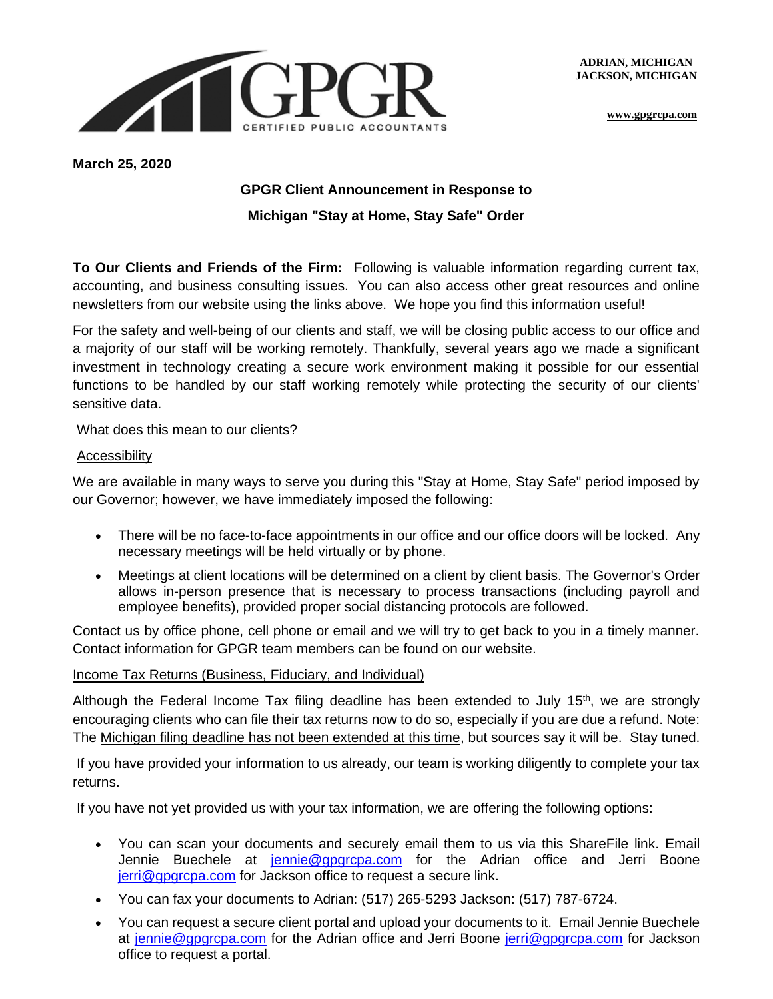**ADRIAN, MICHIGAN JACKSON, MICHIGAN** 



**[www.gpgrcpa.com](http://www.gpgrcpa.com/)**

**March 25, 2020**

# **GPGR Client Announcement in Response to Michigan "Stay at Home, Stay Safe" Order**

**To Our Clients and Friends of the Firm:** Following is valuable information regarding current tax, accounting, and business consulting issues. You can also access other great resources and online newsletters from our website using the links above. We hope you find this information useful!

For the safety and well-being of our clients and staff, we will be closing public access to our office and a majority of our staff will be working remotely. Thankfully, several years ago we made a significant investment in technology creating a secure work environment making it possible for our essential functions to be handled by our staff working remotely while protecting the security of our clients' sensitive data.

What does this mean to our clients?

#### Accessibility

We are available in many ways to serve you during this "Stay at Home, Stay Safe" period imposed by our Governor; however, we have immediately imposed the following:

- There will be no face-to-face appointments in our office and our office doors will be locked. Any necessary meetings will be held virtually or by phone.
- Meetings at client locations will be determined on a client by client basis. The Governor's Order allows in-person presence that is necessary to process transactions (including payroll and employee benefits), provided proper social distancing protocols are followed.

Contact us by office phone, cell phone or email and we will try to get back to you in a timely manner. Contact information for GPGR team members can be found on our website.

#### Income Tax Returns (Business, Fiduciary, and Individual)

Although the Federal Income Tax filing deadline has been extended to July  $15<sup>th</sup>$ , we are strongly encouraging clients who can file their tax returns now to do so, especially if you are due a refund. Note: The Michigan filing deadline has not been extended at this time, but sources say it will be. Stay tuned.

If you have provided your information to us already, our team is working diligently to complete your tax returns.

If you have not yet provided us with your tax information, we are offering the following options:

- You can scan your documents and securely email them to us via this ShareFile link. Email Jennie Buechele at [jennie@gpgrcpa.com](mailto:jennie@gpgrcpa.com) for the Adrian office and Jerri Boone [jerri@gpgrcpa.com](mailto:jerri@gpgrcpa.com) for Jackson office to request a secure link.
- You can fax your documents to Adrian: (517) 265-5293 Jackson: (517) 787-6724.
- You can request a secure client portal and upload your documents to it. Email Jennie Buechele at [jennie@gpgrcpa.com](mailto:jennie@gpgrcpa.com) for the Adrian office and Jerri Boone [jerri@gpgrcpa.com](mailto:jerri@gpgrcpa.com) for Jackson office to request a portal.